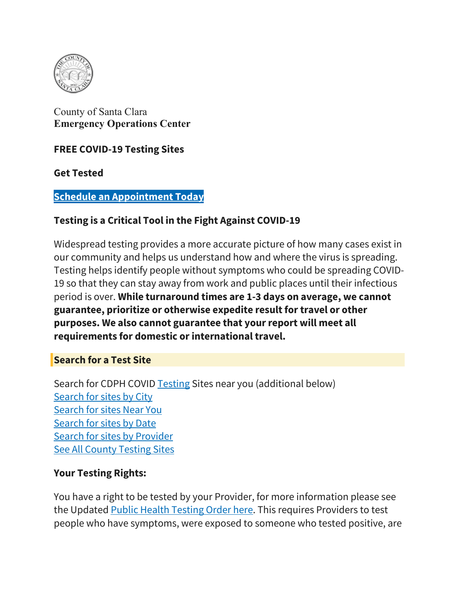

[County](https://covid19.sccgov.org/) of Santa Clara **[Emergency](https://covid19.sccgov.org/) Operations Center**

#### **FREE COVID-19 Testing Sites**

**Get Tested**

#### **Schedule [an Appointment Today](https://scl.fulgentgenetics.com/appointment/screen/landing)**

### **Testing is a Critical Tool in the Fight Against COVID-19**

Widespread testing provides a more accurate picture of how many cases exist in our community and helps us understand how and where the virus is spreading. Testing helps identify people without symptoms who could be spreading COVID-19 so that they can stay away from work and public places until their infectious period is over. **While turnaround times are 1-3 days on average, we cannot guarantee, prioritize or otherwise expedite result for travel or other purposes. We also cannot guarantee that your report will meet all requirements for domestic or international travel.**

#### **Search for a Test Site**

Search for CDPH COVID [Testing](https://www.cdph.ca.gov/Programs/CID/DCDC/Pages/COVID-19/Testing.aspx) Sites near you (additional below) [Search for sites by](https://covid19.sccgov.org/covid-19-testing#bycity) City [Search for sites Near](https://covid19.sccgov.org/covid-19-testing#bymap) You [Search for sites by](https://covid19.sccgov.org/covid-19-testing#bycalendar) Date [Search for sites by](https://covid19.sccgov.org/covid-19-testing#byprovider) Provider See All [County Testing Sites](https://covid19.sccgov.org/covid-19-testing#allcountysites)

#### **Your Testing Rights:**

You have a right to be tested by your Provider, for more information please see the Updated [Public Health Testing Order here.](https://covid19.sccgov.org/order-health-officer-09-16-2020-healthcare-facilities-to-provide-covid-19-testing) This requires Providers to test people who have symptoms, were exposed to someone who tested positive, are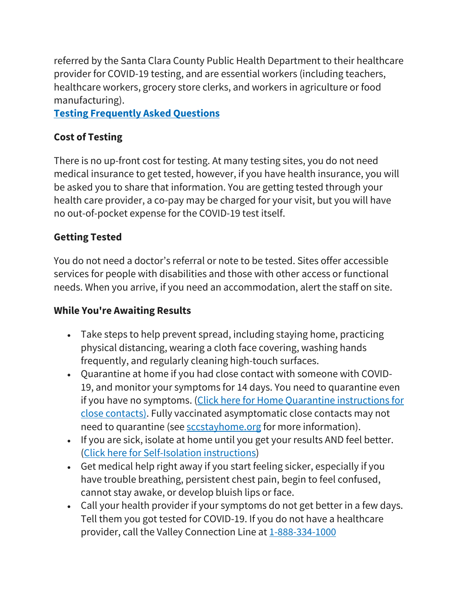referred by the Santa Clara County Public Health Department to their healthcare provider for COVID-19 testing, and are essential workers (including teachers, healthcare workers, grocery store clerks, and workers in agriculture or food manufacturing).

**Testing [Frequently](https://covid19.sccgov.org/order-health-officer-06-15-2020-faq) Asked Questions**

# **Cost of Testing**

There is no up-front cost for testing. At many testing sites, you do not need medical insurance to get tested, however, if you have health insurance, you will be asked you to share that information. You are getting tested through your health care provider, a co-pay may be charged for your visit, but you will have no out-of-pocket expense for the COVID-19 test itself.

# **Getting Tested**

You do not need a doctor's referral or note to be tested. Sites offer accessible services for people with disabilities and those with other access or functional needs. When you arrive, if you need an accommodation, alert the staff on site.

# **While You're Awaiting Results**

- Take steps to help prevent spread, including staying home, practicing physical distancing, wearing a cloth face covering, washing hands frequently, and regularly cleaning high-touch surfaces.
- Quarantine at home if you had close contact with someone with COVID-19, and monitor your symptoms for 14 days. You need to quarantine even if you have no symptoms. (Click here for Home Quarantine [instructions](https://covid19.sccgov.org/node/24891#guidance) for close [contacts\).](https://covid19.sccgov.org/node/24891#guidance) Fully vaccinated asymptomatic close contacts may not need to quarantine (see [sccstayhome.org](https://covid19.sccgov.org/node/24891#quarantine-steps) for more information).
- If you are sick, isolate at home until you get your results AND feel better. (Click here for [Self-Isolation](https://covid19.sccgov.org/node/24891#isolation-steps) instructions)
- Get medical help right away if you start feeling sicker, especially if you have trouble breathing, persistent chest pain, begin to feel confused, cannot stay awake, or develop bluish lips or face.
- Call your health provider if your symptoms do not get better in a few days. Tell them you got tested for COVID-19. If you do not have a healthcare provider, call the Valley Connection Line at [1-888-334-1000](tel:888-334-1000)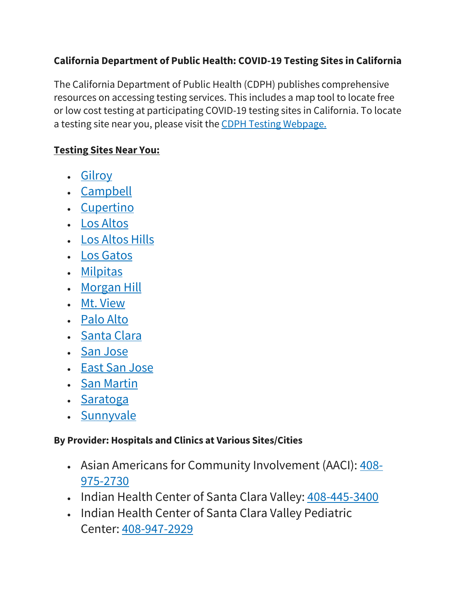## **California Department of Public Health: COVID-19 Testing Sites in California**

The California Department of Public Health (CDPH) publishes comprehensive resources on accessing testing services. This includes a map tool to locate free or low cost testing at participating COVID-19 testing sites in California. To locate a testing site near you, please visit the CDPH Testing [Webpage.](https://www.cdph.ca.gov/Programs/CID/DCDC/Pages/COVID-19/Testing.aspx)

## **Testing Sites Near You:**

- [Gilroy](https://covid19.sccgov.org/covid-19-testing#gi)
- [Campbell](https://covid19.sccgov.org/covid-19-testing#campbell)
- [Cupertino](https://covid19.sccgov.org/covid-19-testing#cupertino)
- Los [Altos](https://covid19.sccgov.org/covid-19-testing#la)
- Los [Altos](https://covid19.sccgov.org/covid-19-testing#lah) Hills
- Los [Gatos](https://covid19.sccgov.org/covid-19-testing#lg)
- [Milpitas](https://covid19.sccgov.org/covid-19-testing#milpitas)
- [Morgan](https://covid19.sccgov.org/covid-19-testing#mh) Hill
- Mt. [View](https://covid19.sccgov.org/covid-19-testing#mv)
- [Palo](https://covid19.sccgov.org/covid-19-testing#pa) Alto
- [Santa](https://covid19.sccgov.org/covid-19-testing#sc) Clara
- San [Jose](https://covid19.sccgov.org/covid-19-testing#sj)
- East San [Jose](https://covid19.sccgov.org/covid-19-testing#esj)
- San [Martin](https://covid19.sccgov.org/covid-19-testing#sm)
- [Saratoga](https://covid19.sccgov.org/covid-19-testing#saratoga)
- [Sunnyvale](https://covid19.sccgov.org/covid-19-testing#sunnyvale)

## **By Provider: Hospitals and Clinics at Various Sites/Cities**

- Asian Americans for Community Involvement (AACI): [408-](tel:408-975-2730) [975-2730](tel:408-975-2730)
- Indian Health Center of Santa Clara Valley: [408-445-3400](tel:408-445-3400)
- Indian Health Center of Santa Clara Valley Pediatric Center: [408-947-2929](tel:408-947-2929)